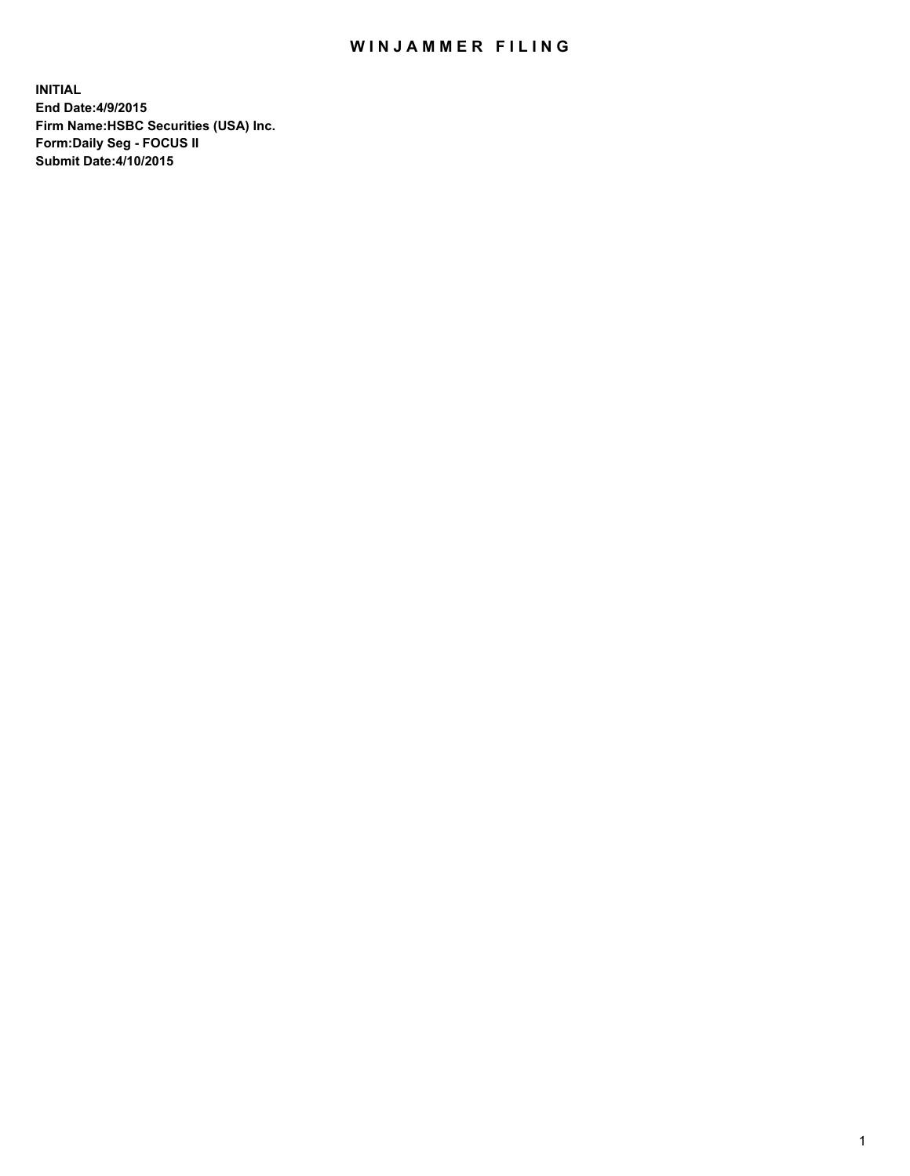## WIN JAMMER FILING

**INITIAL End Date:4/9/2015 Firm Name:HSBC Securities (USA) Inc. Form:Daily Seg - FOCUS II Submit Date:4/10/2015**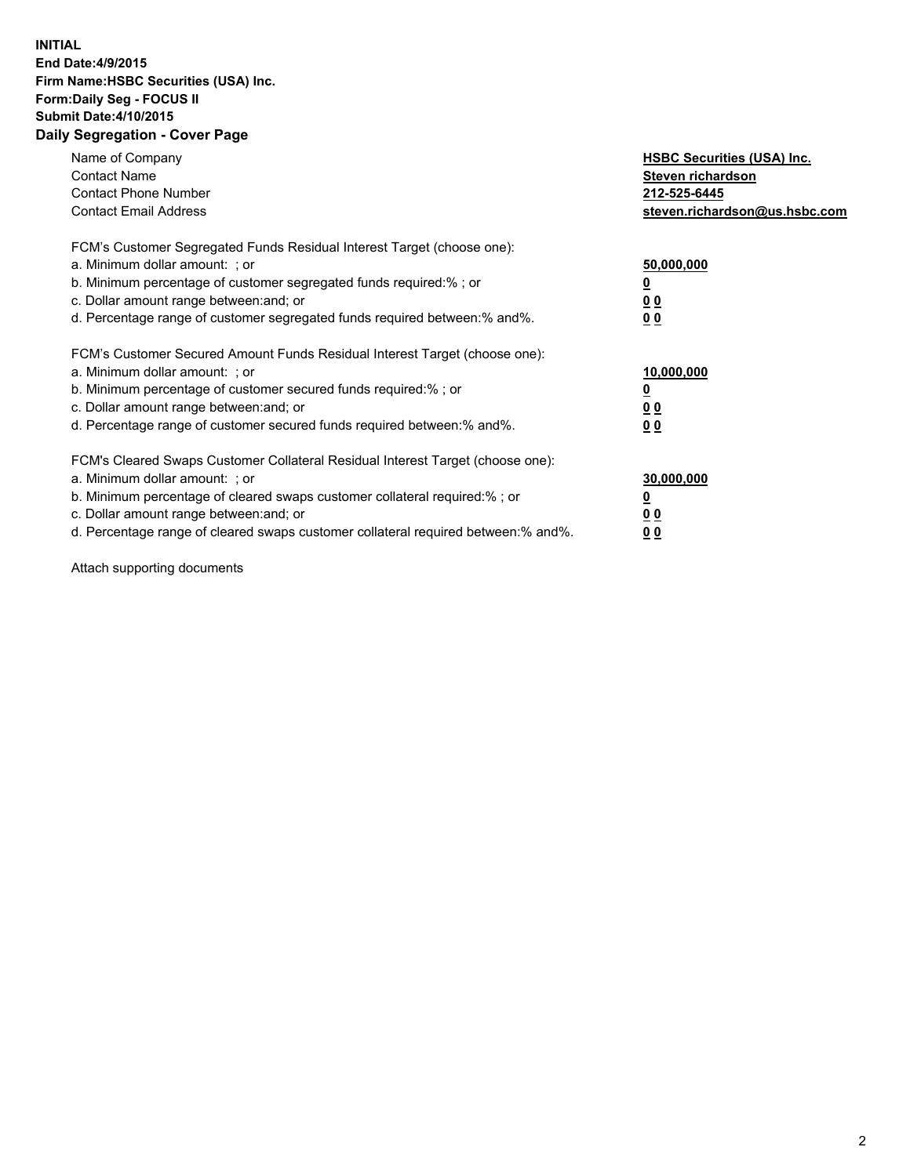## **INITIAL End Date:4/9/2015 Firm Name:HSBC Securities (USA) Inc. Form:Daily Seg - FOCUS II Submit Date:4/10/2015 Daily Segregation - Cover Page**

| Name of Company<br><b>Contact Name</b><br><b>Contact Phone Number</b><br><b>Contact Email Address</b>                                                                                                                                                                                                                          | <b>HSBC Securities (USA) Inc.</b><br>Steven richardson<br>212-525-6445<br>steven.richardson@us.hsbc.com |
|--------------------------------------------------------------------------------------------------------------------------------------------------------------------------------------------------------------------------------------------------------------------------------------------------------------------------------|---------------------------------------------------------------------------------------------------------|
| FCM's Customer Segregated Funds Residual Interest Target (choose one):<br>a. Minimum dollar amount: ; or<br>b. Minimum percentage of customer segregated funds required:%; or<br>c. Dollar amount range between: and; or<br>d. Percentage range of customer segregated funds required between:% and%.                          | 50,000,000<br>00<br>00                                                                                  |
| FCM's Customer Secured Amount Funds Residual Interest Target (choose one):<br>a. Minimum dollar amount: ; or<br>b. Minimum percentage of customer secured funds required:%; or<br>c. Dollar amount range between: and; or<br>d. Percentage range of customer secured funds required between:% and%.                            | 10,000,000<br>0 <sub>0</sub><br>00                                                                      |
| FCM's Cleared Swaps Customer Collateral Residual Interest Target (choose one):<br>a. Minimum dollar amount: ; or<br>b. Minimum percentage of cleared swaps customer collateral required:% ; or<br>c. Dollar amount range between: and; or<br>d. Percentage range of cleared swaps customer collateral required between:% and%. | 30,000,000<br><u>00</u><br><u>00</u>                                                                    |

Attach supporting documents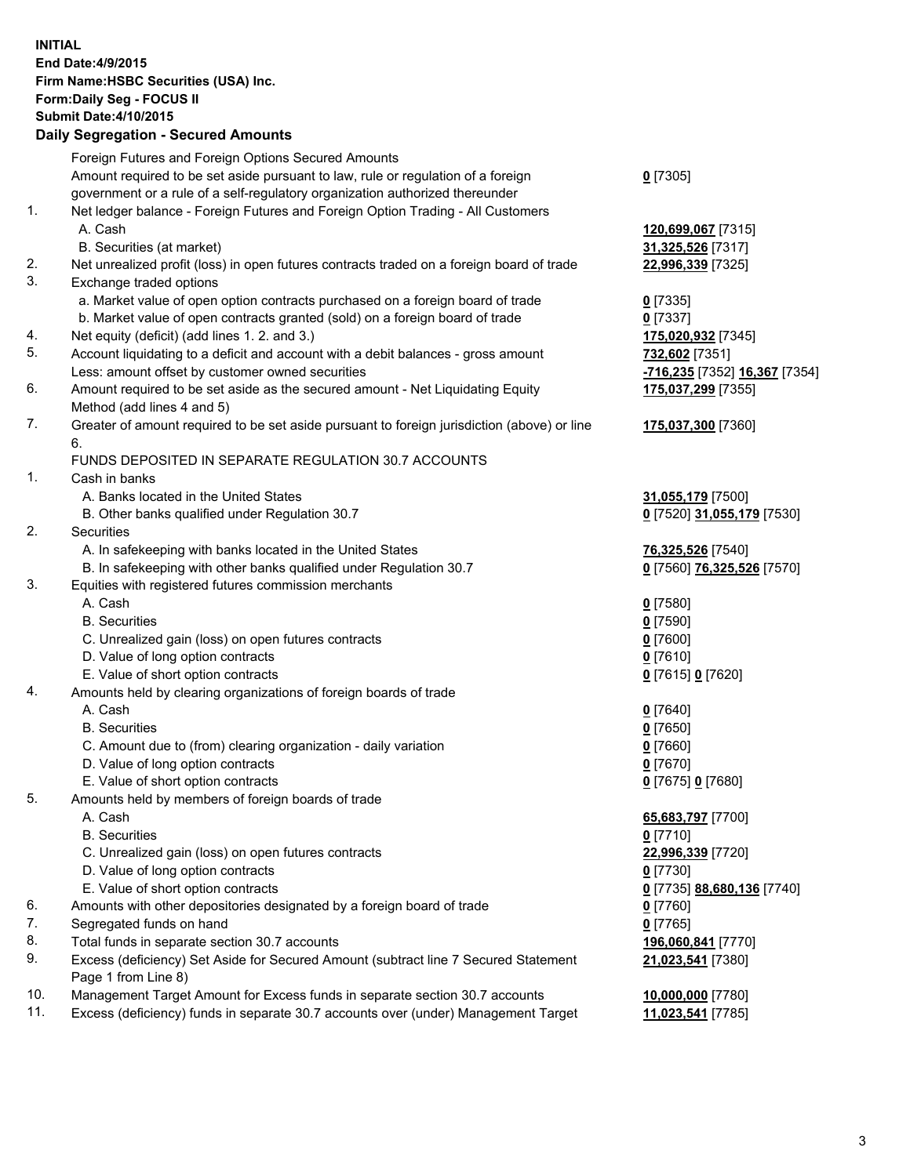**INITIAL End Date:4/9/2015 Firm Name:HSBC Securities (USA) Inc. Form:Daily Seg - FOCUS II Submit Date:4/10/2015 Daily Segregation - Secured Amounts**

Foreign Futures and Foreign Options Secured Amounts Amount required to be set aside pursuant to law, rule or regulation of a foreign government or a rule of a self-regulatory organization authorized thereunder **0** [7305] 1. Net ledger balance - Foreign Futures and Foreign Option Trading - All Customers A. Cash **120,699,067** [7315] B. Securities (at market) **31,325,526** [7317] 2. Net unrealized profit (loss) in open futures contracts traded on a foreign board of trade **22,996,339** [7325] 3. Exchange traded options a. Market value of open option contracts purchased on a foreign board of trade **0** [7335] b. Market value of open contracts granted (sold) on a foreign board of trade **0** [7337] 4. Net equity (deficit) (add lines 1. 2. and 3.) **175,020,932** [7345] 5. Account liquidating to a deficit and account with a debit balances - gross amount **732,602** [7351] Less: amount offset by customer owned securities **-716,235** [7352] **16,367** [7354] 6. Amount required to be set aside as the secured amount - Net Liquidating Equity Method (add lines 4 and 5) **175,037,299** [7355] 7. Greater of amount required to be set aside pursuant to foreign jurisdiction (above) or line 6. **175,037,300** [7360] FUNDS DEPOSITED IN SEPARATE REGULATION 30.7 ACCOUNTS 1. Cash in banks A. Banks located in the United States **31,055,179** [7500] B. Other banks qualified under Regulation 30.7 **0** [7520] **31,055,179** [7530] 2. Securities A. In safekeeping with banks located in the United States **76,325,526** [7540] B. In safekeeping with other banks qualified under Regulation 30.7 **0** [7560] **76,325,526** [7570] 3. Equities with registered futures commission merchants A. Cash **0** [7580] B. Securities **0** [7590] C. Unrealized gain (loss) on open futures contracts **0** [7600] D. Value of long option contracts **0** [7610] E. Value of short option contracts **0** [7615] **0** [7620] 4. Amounts held by clearing organizations of foreign boards of trade A. Cash **0** [7640] B. Securities **0** [7650] C. Amount due to (from) clearing organization - daily variation **0** [7660] D. Value of long option contracts **0** [7670] E. Value of short option contracts **0** [7675] **0** [7680] 5. Amounts held by members of foreign boards of trade A. Cash **65,683,797** [7700] B. Securities **0** [7710] C. Unrealized gain (loss) on open futures contracts **22,996,339** [7720] D. Value of long option contracts **0** [7730] E. Value of short option contracts **0** [7735] **88,680,136** [7740] 6. Amounts with other depositories designated by a foreign board of trade **0** [7760] 7. Segregated funds on hand **0** [7765] 8. Total funds in separate section 30.7 accounts **196,060,841** [7770] 9. Excess (deficiency) Set Aside for Secured Amount (subtract line 7 Secured Statement Page 1 from Line 8) **21,023,541** [7380] 10. Management Target Amount for Excess funds in separate section 30.7 accounts **10,000,000** [7780] 11. Excess (deficiency) funds in separate 30.7 accounts over (under) Management Target **11,023,541** [7785]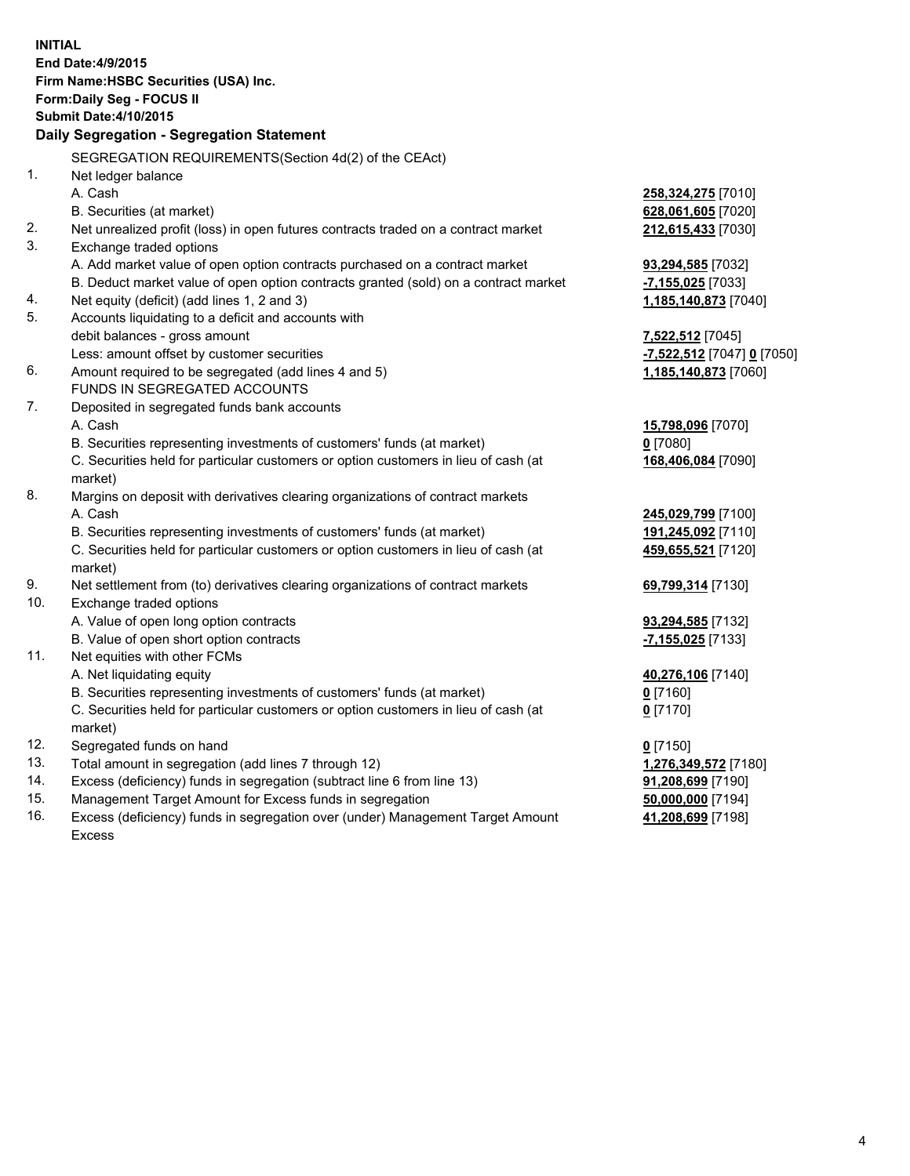| <b>INITIAL</b>                            |                                                                                     |                            |  |  |
|-------------------------------------------|-------------------------------------------------------------------------------------|----------------------------|--|--|
| End Date: 4/9/2015                        |                                                                                     |                            |  |  |
| Firm Name: HSBC Securities (USA) Inc.     |                                                                                     |                            |  |  |
| Form: Daily Seg - FOCUS II                |                                                                                     |                            |  |  |
| <b>Submit Date: 4/10/2015</b>             |                                                                                     |                            |  |  |
| Daily Segregation - Segregation Statement |                                                                                     |                            |  |  |
|                                           | SEGREGATION REQUIREMENTS(Section 4d(2) of the CEAct)                                |                            |  |  |
| 1.                                        | Net ledger balance                                                                  |                            |  |  |
|                                           | A. Cash                                                                             | 258,324,275 [7010]         |  |  |
|                                           | B. Securities (at market)                                                           | 628,061,605 [7020]         |  |  |
| 2.                                        | Net unrealized profit (loss) in open futures contracts traded on a contract market  | 212,615,433 [7030]         |  |  |
| 3.                                        | Exchange traded options                                                             |                            |  |  |
|                                           | A. Add market value of open option contracts purchased on a contract market         | 93,294,585 [7032]          |  |  |
|                                           | B. Deduct market value of open option contracts granted (sold) on a contract market | -7,155,025 [7033]          |  |  |
| 4.                                        | Net equity (deficit) (add lines 1, 2 and 3)                                         | 1,185,140,873 [7040]       |  |  |
| 5.                                        | Accounts liquidating to a deficit and accounts with                                 |                            |  |  |
|                                           | debit balances - gross amount                                                       | 7,522,512 [7045]           |  |  |
|                                           | Less: amount offset by customer securities                                          | -7,522,512 [7047] 0 [7050] |  |  |
| 6.                                        | Amount required to be segregated (add lines 4 and 5)                                | 1,185,140,873 [7060]       |  |  |
|                                           | FUNDS IN SEGREGATED ACCOUNTS                                                        |                            |  |  |
| 7.                                        | Deposited in segregated funds bank accounts                                         |                            |  |  |
|                                           | A. Cash                                                                             | 15,798,096 [7070]          |  |  |
|                                           | B. Securities representing investments of customers' funds (at market)              | $0$ [7080]                 |  |  |
|                                           | C. Securities held for particular customers or option customers in lieu of cash (at | 168,406,084 [7090]         |  |  |
|                                           | market)                                                                             |                            |  |  |
| 8.                                        | Margins on deposit with derivatives clearing organizations of contract markets      |                            |  |  |
|                                           | A. Cash                                                                             | 245,029,799 [7100]         |  |  |
|                                           | B. Securities representing investments of customers' funds (at market)              | 191,245,092 [7110]         |  |  |
|                                           | C. Securities held for particular customers or option customers in lieu of cash (at | 459,655,521 [7120]         |  |  |
|                                           | market)                                                                             |                            |  |  |
| 9.                                        | Net settlement from (to) derivatives clearing organizations of contract markets     | 69,799,314 [7130]          |  |  |
| 10.                                       | Exchange traded options                                                             |                            |  |  |
|                                           | A. Value of open long option contracts                                              | 93,294,585 [7132]          |  |  |
|                                           | B. Value of open short option contracts                                             | -7,155,025 [7133]          |  |  |
| 11.                                       | Net equities with other FCMs                                                        |                            |  |  |
|                                           | A. Net liquidating equity                                                           | 40,276,106 [7140]          |  |  |
|                                           | B. Securities representing investments of customers' funds (at market)              | 0 [7160]                   |  |  |
|                                           | C. Securities held for particular customers or option customers in lieu of cash (at | $0$ [7170]                 |  |  |
|                                           | market)                                                                             |                            |  |  |
| 12.                                       | Segregated funds on hand                                                            | $0$ [7150]                 |  |  |
| 13.                                       | Total amount in segregation (add lines 7 through 12)                                | 1,276,349,572 [7180]       |  |  |
| 14.                                       | Excess (deficiency) funds in segregation (subtract line 6 from line 13)             | 91,208,699 [7190]          |  |  |
| 15.                                       | Management Target Amount for Excess funds in segregation                            | 50,000,000 [7194]          |  |  |
| 16.                                       | Excess (deficiency) funds in segregation over (under) Management Target Amount      | 41,208,699 [7198]          |  |  |
|                                           | <b>Excess</b>                                                                       |                            |  |  |